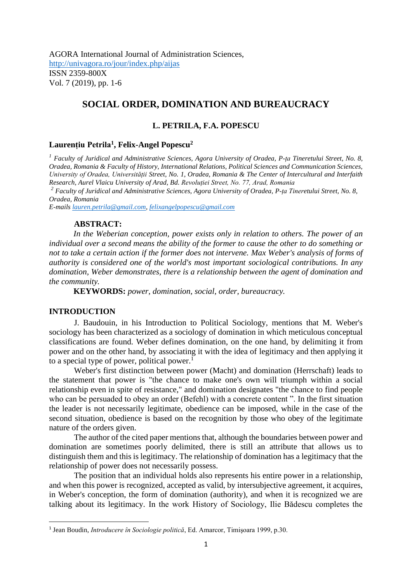AGORA International Journal of Administration Sciences, <http://univagora.ro/jour/index.php/aijas> ISSN 2359-800X Vol. 7 (2019), pp. 1-6

# **SOCIAL ORDER, DOMINATION AND BUREAUCRACY**

# **L. PETRILA, F.A. POPESCU**

## **Laurențiu Petrila<sup>1</sup> , Felix-Angel Popescu<sup>2</sup>**

*<sup>1</sup> Faculty of Juridical and Administrative Sciences, Agora University of Oradea, P-ța Tineretului Street, No. 8, Oradea, Romania & Faculty of History, International Relations, Political Sciences and Communication Sciences, University of Oradea, Universității Street, No. 1, Oradea, Romania & The Center of Intercultural and Interfaith Research, Aurel Vlaicu University of Arad, Bd. Revoluției Street, No. 77, Arad, Romania*

*<sup>2</sup> Faculty of Juridical and Administrative Sciences, Agora University of Oradea, P-ța Tineretului Street, No. 8, Oradea, Romania*

*E-mail[s lauren.petrila@gmail.com,](mailto:lauren.petrila@gmail.com) [felixangelpopescu@gmail.com](mailto:felixangelpopescu@gmail.com)*

# **ABSTRACT:**

*In the Weberian conception, power exists only in relation to others. The power of an individual over a second means the ability of the former to cause the other to do something or not to take a certain action if the former does not intervene. Max Weber's analysis of forms of authority is considered one of the world's most important sociological contributions. In any domination, Weber demonstrates, there is a relationship between the agent of domination and the community.*

**KEYWORDS:** *power, domination, social, order, bureaucracy.* 

#### **INTRODUCTION**

J. Baudouin, in his Introduction to Political Sociology, mentions that M. Weber's sociology has been characterized as a sociology of domination in which meticulous conceptual classifications are found. Weber defines domination, on the one hand, by delimiting it from power and on the other hand, by associating it with the idea of legitimacy and then applying it to a special type of power, political power.<sup>1</sup>

Weber's first distinction between power (Macht) and domination (Herrschaft) leads to the statement that power is "the chance to make one's own will triumph within a social relationship even in spite of resistance," and domination designates "the chance to find people who can be persuaded to obey an order (Befehl) with a concrete content ". In the first situation the leader is not necessarily legitimate, obedience can be imposed, while in the case of the second situation, obedience is based on the recognition by those who obey of the legitimate nature of the orders given.

The author of the cited paper mentions that, although the boundaries between power and domination are sometimes poorly delimited, there is still an attribute that allows us to distinguish them and this is legitimacy. The relationship of domination has a legitimacy that the relationship of power does not necessarily possess.

The position that an individual holds also represents his entire power in a relationship, and when this power is recognized, accepted as valid, by intersubjective agreement, it acquires, in Weber's conception, the form of domination (authority), and when it is recognized we are talking about its legitimacy. In the work History of Sociology, Ilie Bădescu completes the

<sup>1</sup> Jean Boudin, *Introducere în Sociologie politică*, Ed. Amarcor, Timişoara 1999, p.30.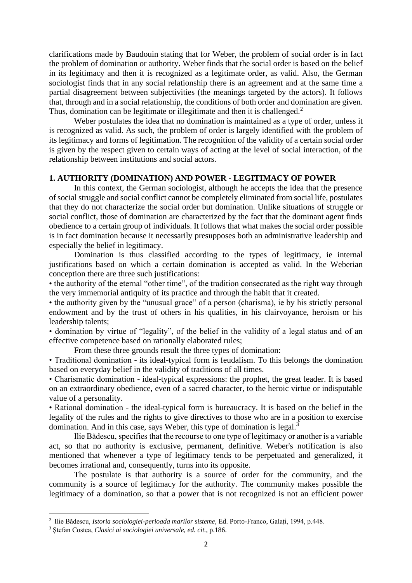clarifications made by Baudouin stating that for Weber, the problem of social order is in fact the problem of domination or authority. Weber finds that the social order is based on the belief in its legitimacy and then it is recognized as a legitimate order, as valid. Also, the German sociologist finds that in any social relationship there is an agreement and at the same time a partial disagreement between subjectivities (the meanings targeted by the actors). It follows that, through and in a social relationship, the conditions of both order and domination are given. Thus, domination can be legitimate or illegitimate and then it is challenged.<sup>2</sup>

Weber postulates the idea that no domination is maintained as a type of order, unless it is recognized as valid. As such, the problem of order is largely identified with the problem of its legitimacy and forms of legitimation. The recognition of the validity of a certain social order is given by the respect given to certain ways of acting at the level of social interaction, of the relationship between institutions and social actors.

# **1. AUTHORITY (DOMINATION) AND POWER - LEGITIMACY OF POWER**

In this context, the German sociologist, although he accepts the idea that the presence of social struggle and social conflict cannot be completely eliminated from social life, postulates that they do not characterize the social order but domination. Unlike situations of struggle or social conflict, those of domination are characterized by the fact that the dominant agent finds obedience to a certain group of individuals. It follows that what makes the social order possible is in fact domination because it necessarily presupposes both an administrative leadership and especially the belief in legitimacy.

Domination is thus classified according to the types of legitimacy, ie internal justifications based on which a certain domination is accepted as valid. In the Weberian conception there are three such justifications:

• the authority of the eternal "other time", of the tradition consecrated as the right way through the very immemorial antiquity of its practice and through the habit that it created.

• the authority given by the "unusual grace" of a person (charisma), ie by his strictly personal endowment and by the trust of others in his qualities, in his clairvoyance, heroism or his leadership talents;

• domination by virtue of "legality", of the belief in the validity of a legal status and of an effective competence based on rationally elaborated rules;

From these three grounds result the three types of domination:

• Traditional domination - its ideal-typical form is feudalism. To this belongs the domination based on everyday belief in the validity of traditions of all times.

• Charismatic domination - ideal-typical expressions: the prophet, the great leader. It is based on an extraordinary obedience, even of a sacred character, to the heroic virtue or indisputable value of a personality.

• Rational domination - the ideal-typical form is bureaucracy. It is based on the belief in the legality of the rules and the rights to give directives to those who are in a position to exercise domination. And in this case, says Weber, this type of domination is legal.<sup>3</sup>

Ilie Bădescu, specifies that the recourse to one type of legitimacy or another is a variable act, so that no authority is exclusive, permanent, definitive. Weber's notification is also mentioned that whenever a type of legitimacy tends to be perpetuated and generalized, it becomes irrational and, consequently, turns into its opposite.

The postulate is that authority is a source of order for the community, and the community is a source of legitimacy for the authority. The community makes possible the legitimacy of a domination, so that a power that is not recognized is not an efficient power

<sup>2</sup> Ilie Bădescu, *Istoria sociologiei-perioada marilor sisteme,* Ed. Porto-Franco, Galaţi, 1994, p.448.

<sup>3</sup> Ştefan Costea, *Clasici ai sociologiei universale, ed. cit.*, p.186.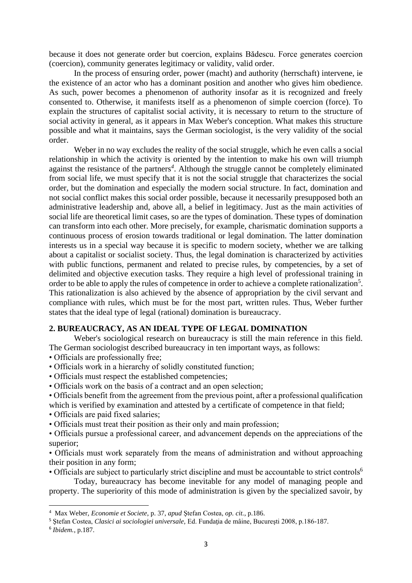because it does not generate order but coercion, explains Bădescu. Force generates coercion (coercion), community generates legitimacy or validity, valid order.

In the process of ensuring order, power (macht) and authority (herrschaft) intervene, ie the existence of an actor who has a dominant position and another who gives him obedience. As such, power becomes a phenomenon of authority insofar as it is recognized and freely consented to. Otherwise, it manifests itself as a phenomenon of simple coercion (force). To explain the structures of capitalist social activity, it is necessary to return to the structure of social activity in general, as it appears in Max Weber's conception. What makes this structure possible and what it maintains, says the German sociologist, is the very validity of the social order.

Weber in no way excludes the reality of the social struggle, which he even calls a social relationship in which the activity is oriented by the intention to make his own will triumph against the resistance of the partners*<sup>4</sup>* . Although the struggle cannot be completely eliminated from social life, we must specify that it is not the social struggle that characterizes the social order, but the domination and especially the modern social structure. In fact, domination and not social conflict makes this social order possible, because it necessarily presupposed both an administrative leadership and, above all, a belief in legitimacy. Just as the main activities of social life are theoretical limit cases, so are the types of domination. These types of domination can transform into each other. More precisely, for example, charismatic domination supports a continuous process of erosion towards traditional or legal domination. The latter domination interests us in a special way because it is specific to modern society, whether we are talking about a capitalist or socialist society. Thus, the legal domination is characterized by activities with public functions, permanent and related to precise rules, by competencies, by a set of delimited and objective execution tasks. They require a high level of professional training in order to be able to apply the rules of competence in order to achieve a complete rationalization<sup>5</sup>. This rationalization is also achieved by the absence of appropriation by the civil servant and compliance with rules, which must be for the most part, written rules. Thus, Weber further states that the ideal type of legal (rational) domination is bureaucracy.

# **2. BUREAUCRACY, AS AN IDEAL TYPE OF LEGAL DOMINATION**

Weber's sociological research on bureaucracy is still the main reference in this field. The German sociologist described bureaucracy in ten important ways, as follows:

- Officials are professionally free;
- Officials work in a hierarchy of solidly constituted function;
- Officials must respect the established competencies;
- Officials work on the basis of a contract and an open selection;
- Officials benefit from the agreement from the previous point, after a professional qualification which is verified by examination and attested by a certificate of competence in that field;
- Officials are paid fixed salaries;
- Officials must treat their position as their only and main profession;

• Officials pursue a professional career, and advancement depends on the appreciations of the superior;

• Officials must work separately from the means of administration and without approaching their position in any form;

• Officials are subject to particularly strict discipline and must be accountable to strict controls<sup>6</sup>

Today, bureaucracy has become inevitable for any model of managing people and property. The superiority of this mode of administration is given by the specialized savoir, by

<sup>4</sup> Max Weber, *Economie et Societe*, p. 37, *apud* Ştefan Costea, *op. cit.*, p.186.

<sup>5</sup> Ştefan Costea, *Clasici ai sociologiei universale,* Ed. Fundaţia de mâine, Bucureşti 2008, p.186-187.

<sup>6</sup> *Ibidem.*, p.187.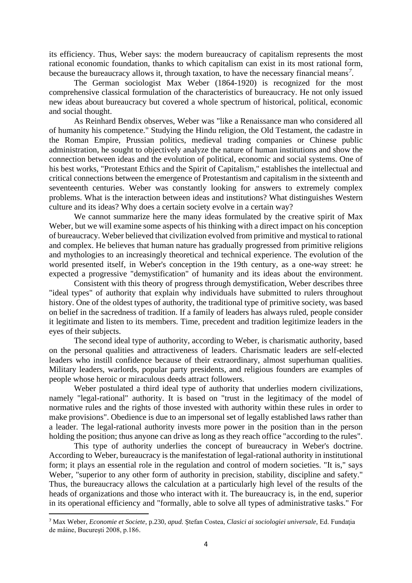its efficiency. Thus, Weber says: the modern bureaucracy of capitalism represents the most rational economic foundation, thanks to which capitalism can exist in its most rational form, because the bureaucracy allows it, through taxation, to have the necessary financial means*<sup>7</sup>* .

The German sociologist Max Weber (1864-1920) is recognized for the most comprehensive classical formulation of the characteristics of bureaucracy. He not only issued new ideas about bureaucracy but covered a whole spectrum of historical, political, economic and social thought.

As Reinhard Bendix observes, Weber was "like a Renaissance man who considered all of humanity his competence." Studying the Hindu religion, the Old Testament, the cadastre in the Roman Empire, Prussian politics, medieval trading companies or Chinese public administration, he sought to objectively analyze the nature of human institutions and show the connection between ideas and the evolution of political, economic and social systems. One of his best works, "Protestant Ethics and the Spirit of Capitalism," establishes the intellectual and critical connections between the emergence of Protestantism and capitalism in the sixteenth and seventeenth centuries. Weber was constantly looking for answers to extremely complex problems. What is the interaction between ideas and institutions? What distinguishes Western culture and its ideas? Why does a certain society evolve in a certain way?

We cannot summarize here the many ideas formulated by the creative spirit of Max Weber, but we will examine some aspects of his thinking with a direct impact on his conception of bureaucracy. Weber believed that civilization evolved from primitive and mystical to rational and complex. He believes that human nature has gradually progressed from primitive religions and mythologies to an increasingly theoretical and technical experience. The evolution of the world presented itself, in Weber's conception in the 19th century, as a one-way street: he expected a progressive "demystification" of humanity and its ideas about the environment.

Consistent with this theory of progress through demystification, Weber describes three "ideal types" of authority that explain why individuals have submitted to rulers throughout history. One of the oldest types of authority, the traditional type of primitive society, was based on belief in the sacredness of tradition. If a family of leaders has always ruled, people consider it legitimate and listen to its members. Time, precedent and tradition legitimize leaders in the eyes of their subjects.

The second ideal type of authority, according to Weber, is charismatic authority, based on the personal qualities and attractiveness of leaders. Charismatic leaders are self-elected leaders who instill confidence because of their extraordinary, almost superhuman qualities. Military leaders, warlords, popular party presidents, and religious founders are examples of people whose heroic or miraculous deeds attract followers.

Weber postulated a third ideal type of authority that underlies modern civilizations, namely "legal-rational" authority. It is based on "trust in the legitimacy of the model of normative rules and the rights of those invested with authority within these rules in order to make provisions". Obedience is due to an impersonal set of legally established laws rather than a leader. The legal-rational authority invests more power in the position than in the person holding the position; thus anyone can drive as long as they reach office "according to the rules".

This type of authority underlies the concept of bureaucracy in Weber's doctrine. According to Weber, bureaucracy is the manifestation of legal-rational authority in institutional form; it plays an essential role in the regulation and control of modern societies. "It is," says Weber, "superior to any other form of authority in precision, stability, discipline and safety." Thus, the bureaucracy allows the calculation at a particularly high level of the results of the heads of organizations and those who interact with it. The bureaucracy is, in the end, superior in its operational efficiency and "formally, able to solve all types of administrative tasks." For

<sup>7</sup> Max Weber, *Economie et Societe*, p.230, *apud.* Ştefan Costea, *Clasici ai sociologiei universale,* Ed. Fundaţia de mâine, Bucureşti 2008, p.186.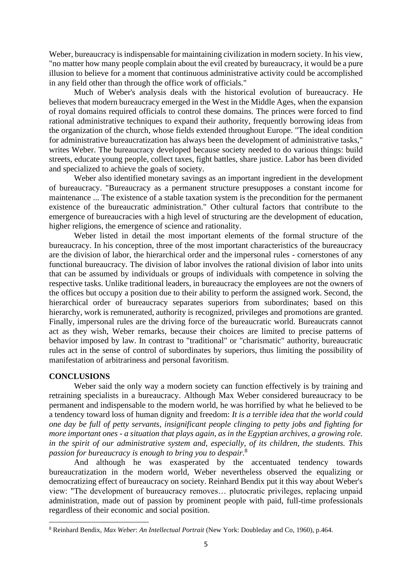Weber, bureaucracy is indispensable for maintaining civilization in modern society. In his view, "no matter how many people complain about the evil created by bureaucracy, it would be a pure illusion to believe for a moment that continuous administrative activity could be accomplished in any field other than through the office work of officials."

Much of Weber's analysis deals with the historical evolution of bureaucracy. He believes that modern bureaucracy emerged in the West in the Middle Ages, when the expansion of royal domains required officials to control these domains. The princes were forced to find rational administrative techniques to expand their authority, frequently borrowing ideas from the organization of the church, whose fields extended throughout Europe. "The ideal condition for administrative bureaucratization has always been the development of administrative tasks," writes Weber. The bureaucracy developed because society needed to do various things: build streets, educate young people, collect taxes, fight battles, share justice. Labor has been divided and specialized to achieve the goals of society.

Weber also identified monetary savings as an important ingredient in the development of bureaucracy. "Bureaucracy as a permanent structure presupposes a constant income for maintenance ... The existence of a stable taxation system is the precondition for the permanent existence of the bureaucratic administration." Other cultural factors that contribute to the emergence of bureaucracies with a high level of structuring are the development of education, higher religions, the emergence of science and rationality.

Weber listed in detail the most important elements of the formal structure of the bureaucracy. In his conception, three of the most important characteristics of the bureaucracy are the division of labor, the hierarchical order and the impersonal rules - cornerstones of any functional bureaucracy. The division of labor involves the rational division of labor into units that can be assumed by individuals or groups of individuals with competence in solving the respective tasks. Unlike traditional leaders, in bureaucracy the employees are not the owners of the offices but occupy a position due to their ability to perform the assigned work. Second, the hierarchical order of bureaucracy separates superiors from subordinates; based on this hierarchy, work is remunerated, authority is recognized, privileges and promotions are granted. Finally, impersonal rules are the driving force of the bureaucratic world. Bureaucrats cannot act as they wish, Weber remarks, because their choices are limited to precise patterns of behavior imposed by law. In contrast to "traditional" or "charismatic" authority, bureaucratic rules act in the sense of control of subordinates by superiors, thus limiting the possibility of manifestation of arbitrariness and personal favoritism.

# **CONCLUSIONS**

Weber said the only way a modern society can function effectively is by training and retraining specialists in a bureaucracy. Although Max Weber considered bureaucracy to be permanent and indispensable to the modern world, he was horrified by what he believed to be a tendency toward loss of human dignity and freedom: *It is a terrible idea that the world could one day be full of petty servants, insignificant people clinging to petty jobs and fighting for more important ones - a situation that plays again, as in the Egyptian archives, a growing role. in the spirit of our administrative system and, especially, of its children, the students. This passion for bureaucracy is enough to bring you to despair.* 8

And although he was exasperated by the accentuated tendency towards bureaucratization in the modern world, Weber nevertheless observed the equalizing or democratizing effect of bureaucracy on society. Reinhard Bendix put it this way about Weber's view: "The development of bureaucracy removes… plutocratic privileges, replacing unpaid administration, made out of passion by prominent people with paid, full-time professionals regardless of their economic and social position.

<sup>8</sup> Reinhard Bendix, *Max Weber*: *An Intellectual Portrait* (New York: Doubleday and Co, 1960), p.464.